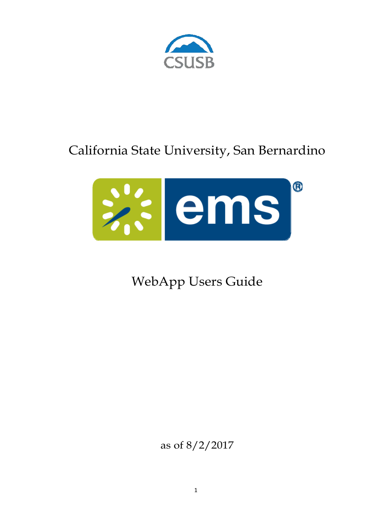

# California State University, San Bernardino



WebApp Users Guide

as of 8/2/2017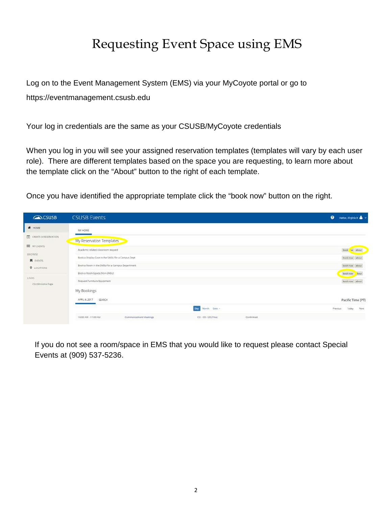# Requesting Event Space using EMS

Log on to the Event Management System (EMS) via your MyCoyote portal or go to https://eventmanagement.csusb.edu

Your log in credentials are the same as your CSUSB/MyCoyote credentials

When you log in you will see your assigned reservation templates (templates will vary by each user role). There are different templates based on the space you are requesting, to learn more about the template click on the "About" button to the right of each template.

Once you have identified the appropriate template click the "book now" button on the right.

| CSUSB                          | <b>CSUSB Events</b>                               |                                 | $\bullet$<br>Hattar, Virginia K & |
|--------------------------------|---------------------------------------------------|---------------------------------|-----------------------------------|
| W HOME                         | 1202000<br>MY HOME.                               |                                 |                                   |
| CREATE A RESERVATION           | My Reservation Templates                          |                                 |                                   |
| <b>III</b> MY EVENTS<br>BROWSE | Academic related classroom request                |                                 | book w about                      |
| <b>同</b> EVENTS                | Book a Display Case in the SMSU for a Campus Dept |                                 | book now about                    |
| <b>Q</b> LOCATIONS             | Book a Room in the SMSU for a Campus Department   |                                 | book now about                    |
|                                | Book a Room/Space (Non-SMSU)                      |                                 | book now                          |
| LINKS<br>CSUSB Home Page       | Request Furniture/Equipment                       |                                 | book now about                    |
|                                | My Bookings                                       |                                 |                                   |
|                                | APRIL 6, 2017<br>SEARCH                           |                                 | Pacific Time [PT]                 |
|                                |                                                   | Day.<br>Month: Date -           | Next<br>Today<br>Previous:        |
|                                | 10:00 AM - 11:00 AM<br>Commencement Meetings      | Confirmed<br>CD - CO-125 (Pine) |                                   |

If you do not see a room/space in EMS that you would like to request please contact Special Events at (909) 537-5236.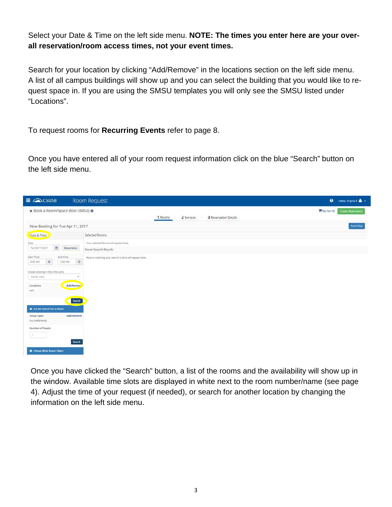Select your Date & Time on the left side menu. **NOTE: The times you enter here are your overall reservation/room access times, not your event times.**

Search for your location by clicking "Add/Remove" in the locations section on the left side menu. A list of all campus buildings will show up and you can select the building that you would like to request space in. If you are using the SMSU templates you will only see the SMSU listed under "Locations".

To request rooms for **Recurring Events** refer to page 8.

Once you have entered all of your room request information click on the blue "Search" button on the left side menu.

| $\equiv$ $\curvearrowright$ CSUSB                                  | Room Request                                                 | $\bullet$<br>Hattar, Virginia K &                          |
|--------------------------------------------------------------------|--------------------------------------------------------------|------------------------------------------------------------|
| x Book a Room/Space (Non-SMSU) @                                   | 2 Services<br>1 Rooms                                        | My Cart (0)<br>Create Reservation<br>3 Reservation Details |
| New Booking for Tue Apr 11, 2017                                   |                                                              | Next Step                                                  |
| Date & Time                                                        | Selected Rooms                                               |                                                            |
| Date:<br>m<br>Tue 04/11/2017<br>Recurrence                         | Your selected Rooms will appear here.<br>Room Search Results |                                                            |
| Start Time<br>End Time<br>$\circ$<br>$\circ$<br>5:00 PM<br>8:00 AM | Rooms matching your search criteria will appear here.        |                                                            |
| Create booking in this time zone<br>Pacific Time                   |                                                              |                                                            |
| Add/Removr<br>Locations<br>(a  )                                   |                                                              |                                                            |
| Search<br>C Let Me Search For A Room                               |                                                              |                                                            |
| Add/Remove<br>Setup Types<br>(no preference)                       |                                                              |                                                            |
| Number of People<br>$\mathcal{X}$ :                                |                                                              |                                                            |
| Search<br>C I Know What Room I Want                                |                                                              |                                                            |

Once you have clicked the "Search" button, a list of the rooms and the availability will show up in the window. Available time slots are displayed in white next to the room number/name (see page 4). Adjust the time of your request (if needed), or search for another location by changing the information on the left side menu.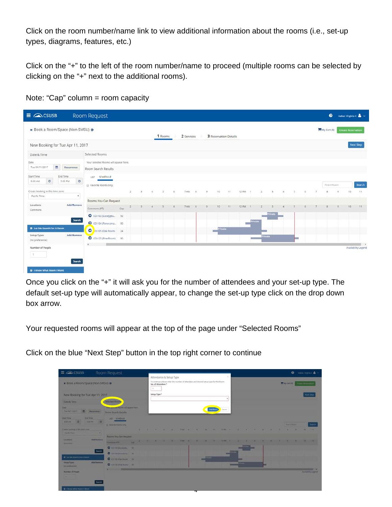Click on the room number/name link to view additional information about the rooms (i.e., set-up types, diagrams, features, etc.)

Click on the "+" to the left of the room number/name to proceed (multiple rooms can be selected by clicking on the "+" next to the additional rooms).

|                                  | × Book a Room/Space (Non-SMSU) ● |                                       |     |              |           |              | 1 Rooms                     |    | 2 Services |      |          | 3 Reservation Details |        |       |                   |                |              |                |              |                |        | My Cart (0) |          | <b>Create Reservation</b> |                  |
|----------------------------------|----------------------------------|---------------------------------------|-----|--------------|-----------|--------------|-----------------------------|----|------------|------|----------|-----------------------|--------|-------|-------------------|----------------|--------------|----------------|--------------|----------------|--------|-------------|----------|---------------------------|------------------|
|                                  | New Booking for Tue Apr 11, 2017 |                                       |     |              |           |              |                             |    |            |      |          |                       |        |       |                   |                |              |                |              |                |        |             |          |                           | <b>Next Step</b> |
| Date & Time                      |                                  | Selected Rooms                        |     |              |           |              |                             |    |            |      |          |                       |        |       |                   |                |              |                |              |                |        |             |          |                           |                  |
| Date:                            |                                  | Your selected Rooms will appear here. |     |              |           |              |                             |    |            |      |          |                       |        |       |                   |                |              |                |              |                |        |             |          |                           |                  |
| Tue 04/11/2017                   | 首<br>Recurrence                  | Room Search Results                   |     |              |           |              |                             |    |            |      |          |                       |        |       |                   |                |              |                |              |                |        |             |          |                           |                  |
| Start Time                       | End Time                         | LIST SCHEDULE                         |     |              |           |              |                             |    |            |      |          |                       |        |       |                   |                |              |                |              |                |        |             |          |                           |                  |
| $\circ$<br>8:00 AM               | $\circ$<br>5:00 PM               | Favorite Rooms only.                  |     |              |           |              |                             |    |            |      |          |                       |        |       |                   |                |              |                |              |                |        | Find A Room |          |                           | Search           |
| Create booking in this time zone |                                  |                                       |     | 2            | $\cdot$ 3 | $\mathbf{A}$ | $\mathcal{L}_{\mathcal{F}}$ | G. | 7 AM       | $-8$ | $\Omega$ | 10                    | $-3.1$ | 12.PM | $\mathbb{R}$      | $\overline{2}$ | $\mathbf{3}$ | $\overline{a}$ | 151          | $\overline{a}$ | $\tau$ | $\bar{z}$   | $\alpha$ | 10                        | 33.              |
| Pacific Time                     | ٠                                | Rooms You Can Request                 |     |              |           |              |                             |    |            |      |          |                       |        |       |                   |                |              |                |              |                |        |             |          |                           |                  |
| Locations<br>Commons             | Add/Remove                       | Commons (PT)                          | Cap | $\mathbf{z}$ | $-3$      |              | $\sim$                      |    | 7 AM       | B    | <b>b</b> | 10                    | 11     | 12 PM | $-11$             |                |              |                |              |                |        |             |          | 30                        | $-111$           |
|                                  |                                  | C CO-103 (Eucalyptu 50                |     |              |           |              |                             |    |            |      |          |                       |        |       |                   |                | Private      |                |              |                |        |             |          |                           |                  |
|                                  | Search                           | C CO-104 (Panorama 90                 |     |              |           |              |                             |    |            |      |          |                       |        |       | Private<br>$\sim$ |                |              |                |              |                |        |             |          |                           |                  |
| C Let Me Search For A Room       |                                  | O 0-105 (Oak Room) 24                 |     |              |           |              |                             |    |            |      |          | <b>Private</b>        |        |       |                   |                |              |                |              |                |        |             |          |                           |                  |
| Setup Types<br>(no preference)   | Add/Remove                       | C CO-125 (Pine Room) 90               |     |              |           |              |                             |    |            |      |          |                       |        |       | C.                | <b>Private</b> |              |                | <b>STATE</b> |                |        |             |          |                           |                  |
| Number of People                 |                                  |                                       |     |              |           |              |                             |    |            |      |          |                       |        |       |                   |                |              |                |              |                |        |             |          | Availability Legend       |                  |

Note: "Cap" column = room capacity

Once you click on the "+" it will ask you for the number of attendees and your set-up type. The default set-up type will automatically appear, to change the set-up type click on the drop down box arrow.

Your requested rooms will appear at the top of the page under "Selected Rooms"

Click on the blue "Next Step" button in the top right corner to continue

| $\equiv$ $\curvearrowright$ csusa                                                           | Room Request                                               |  |              |                                               |                                                                                         |   |                  |                                                                                |   |  |  |  |                           |   | <b>O</b> Hatter Vietnam & |                    |
|---------------------------------------------------------------------------------------------|------------------------------------------------------------|--|--------------|-----------------------------------------------|-----------------------------------------------------------------------------------------|---|------------------|--------------------------------------------------------------------------------|---|--|--|--|---------------------------|---|---------------------------|--------------------|
| x Book a Room/Space (Non-SMSU) @                                                            |                                                            |  | $+$          | Attendance & Setup Type<br>No. of Attendees * | To continue, please enter the number of attendees and desired setup type for this Room. |   |                  |                                                                                |   |  |  |  | <b>May Cart (B)</b>       |   |                           |                    |
| New Booking for Tue Apr 11, 2017                                                            |                                                            |  | Setup Type * |                                               |                                                                                         |   |                  |                                                                                |   |  |  |  |                           |   |                           | Next Step          |
| Date & Time                                                                                 | Selected Room                                              |  |              |                                               |                                                                                         |   |                  |                                                                                |   |  |  |  |                           |   |                           |                    |
| bala<br>Tax DAY H2017<br><b>B. Automotive</b>                                               | The second finish will appeal here.<br>Room Search Results |  |              |                                               |                                                                                         |   | <b>Add Forum</b> | Carcel                                                                         |   |  |  |  |                           |   |                           |                    |
| <b>Eng fame</b><br><b>Mart Time</b><br>101<br>10019 0<br><b>BIDDIAM</b>                     | UST SCHEDULE<br>10 Facerty Rooms only                      |  |              |                                               |                                                                                         |   |                  |                                                                                |   |  |  |  | <b>Bank &amp; Service</b> |   |                           | Search             |
| Treaty booking in this topic inter-<br><b>Waisfur Times</b><br>٠.                           |                                                            |  |              |                                               |                                                                                         |   |                  | SET ROOM HE SET AND STARTING AND AND SHOULD BE SERVED ON THE SET OF THE SET OF |   |  |  |  |                           | - | <b>CARL - 12</b>          |                    |
| <b>Additionave</b><br>Locations:<br><b>Comment</b>                                          | Rooms You Can Request<br>Community Car                     |  |              |                                               |                                                                                         |   |                  | <b>CALCULATION AT A PARTIES</b>                                                |   |  |  |  |                           |   | $197 - 197$               |                    |
| Sweeth                                                                                      | O commandatal sa<br>O. CO-TOCANNING  19                    |  |              |                                               |                                                                                         |   |                  |                                                                                |   |  |  |  |                           |   |                           |                    |
| C Lettile Search For A Room<br><b>Add/Europe</b><br><b>Setup Types</b><br>this profetarion) | O CO TELEVA RIGHT 24<br>O contained from the               |  |              |                                               |                                                                                         |   |                  |                                                                                | _ |  |  |  |                           |   |                           |                    |
| Number of People<br><b>ALCOHOL:</b>                                                         |                                                            |  |              |                                               |                                                                                         |   |                  |                                                                                |   |  |  |  |                           |   |                           | Austability Lagand |
| Search-<br>C I Know What Room I Ward                                                        |                                                            |  |              |                                               |                                                                                         |   |                  |                                                                                |   |  |  |  |                           |   |                           |                    |
|                                                                                             |                                                            |  |              |                                               |                                                                                         | ┱ |                  |                                                                                |   |  |  |  |                           |   |                           |                    |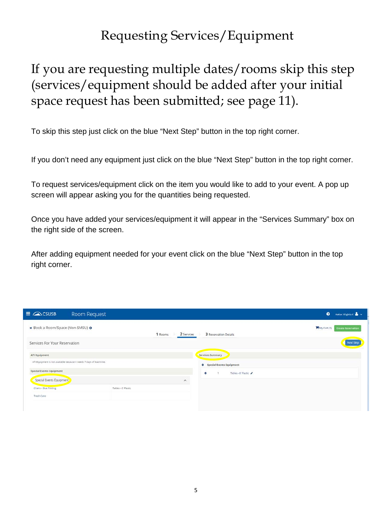## Requesting Services/Equipment

# If you are requesting multiple dates/rooms skip this step (services/equipment should be added after your initial space request has been submitted; see page 11).

To skip this step just click on the blue "Next Step" button in the top right corner.

If you don't need any equipment just click on the blue "Next Step" button in the top right corner.

To request services/equipment click on the item you would like to add to your event. A pop up screen will appear asking you for the quantities being requested.

Once you have added your services/equipment it will appear in the "Services Summary" box on the right side of the screen.

After adding equipment needed for your event click on the blue "Next Step" button in the top right corner.

| $\equiv$ $\curvearrowright$ CSUSB                                    | Room Request          | $\bullet$<br>Hattar, Virginia K &                                 |
|----------------------------------------------------------------------|-----------------------|-------------------------------------------------------------------|
| × Book a Room/Space (Non-SMSU) O                                     | 2 Services<br>1 Rooms | My Cart (1)<br><b>Create Reservation</b><br>3 Reservation Details |
| Services For Your Reservation                                        |                       | Next Step                                                         |
| ATI Equipment                                                        |                       | Services Summary                                                  |
| ATI Equipment is not available because it needs 7 days of lead time. |                       | Special Events Equipment                                          |
| Special Events Equipment                                             |                       | Tables - 6' Plastic<br>Θ<br>×                                     |
| Special Events Equipment                                             | $\hat{\phantom{a}}$   |                                                                   |
| Chairs - Blue Folding                                                | Tables - 6' Plastic   |                                                                   |
| Trash Cans                                                           |                       |                                                                   |
|                                                                      |                       |                                                                   |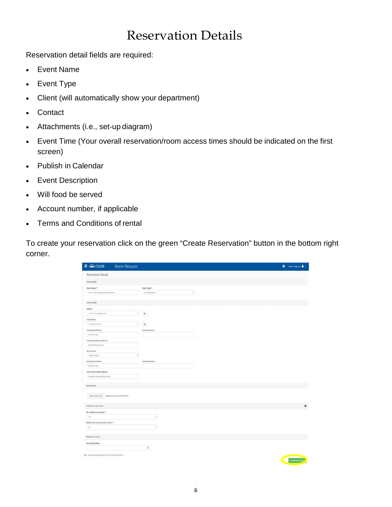#### Reservation Details

Reservation detail fields are required:

- Event Name
- Event Type
- Client (will automatically show your department)
- Contact
- Attachments (i.e., set-up diagram)
- Event Time (Your overall reservation/room access times should be indicated on the first screen)
- Publish in Calendar
- Event Description
- Will food be served
- Account number, if applicable
- Terms and Conditions of rental

To create your reservation click on the green "Create Reservation" button in the bottom right corner.

| $\equiv \bigcirc \sim$ CSUSB<br>Room Request          |                               | $\bullet$ - neuropax $\blacktriangle$ - |
|-------------------------------------------------------|-------------------------------|-----------------------------------------|
| Reservation Details                                   |                               |                                         |
| <b>Event Details</b>                                  |                               |                                         |
| Event Name *                                          | Event Type *                  |                                         |
| Community Engagement Collectionn                      | $\epsilon$<br>Party/Reception |                                         |
| Clent Details                                         |                               |                                         |
| Client."                                              |                               |                                         |
| Community Engagement                                  | $\mathcal{C}$<br>$\alpha$     |                                         |
| tet tiesset.                                          |                               |                                         |
| Podshke, Darles                                       | $\mathbf{r}$<br>$\alpha$      |                                         |
| Tot Contact Phone ?                                   | Tot Contact Fax               |                                         |
| SOSGITT433                                            |                               |                                         |
| 1st Contact Email Address *                           |                               |                                         |
| mobiold mith edu                                      |                               |                                         |
| 2nd Contact                                           |                               |                                         |
| Bryant Farrier                                        | ٠                             |                                         |
| <b>2nd Contact Phone</b>                              | 2nd Contact Fax               |                                         |
| 900-537-7347                                          |                               |                                         |
| 2nd Contact Email Address                             |                               |                                         |
| laneyorpaspirit@ciutb.edu                             |                               |                                         |
| Attachments                                           |                               |                                         |
| Select your files Drag and drop your files here       |                               |                                         |
| Additional Information                                |                               | $\mathbf{O}$                            |
|                                                       |                               |                                         |
| 18 - Publish to Calendar *<br>m                       | ×                             |                                         |
|                                                       |                               |                                         |
| Will food he served at this asset? *<br>N             | $\bullet$                     |                                         |
|                                                       |                               |                                         |
| Biling information                                    |                               |                                         |
| Account Number                                        |                               |                                         |
|                                                       | $\alpha$                      |                                         |
| in I have read and agree to the terms and conditions. |                               |                                         |
|                                                       |                               |                                         |
|                                                       |                               | Onan Immutac                            |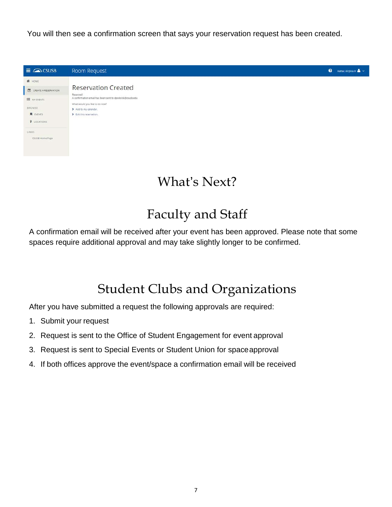You will then see a confirmation screen that says your reservation request has been created.



# What's Next?

#### Faculty and Staff

A confirmation email will be received after your event has been approved. Please note that some spaces require additional approval and may take slightly longer to be confirmed.

## Student Clubs and Organizations

After you have submitted a request the following approvals are required:

- 1. Submit your request
- 2. Request is sent to the Office of Student Engagement for event approval
- 3. Request is sent to Special Events or Student Union for spaceapproval
- 4. If both offices approve the event/space a confirmation email will be received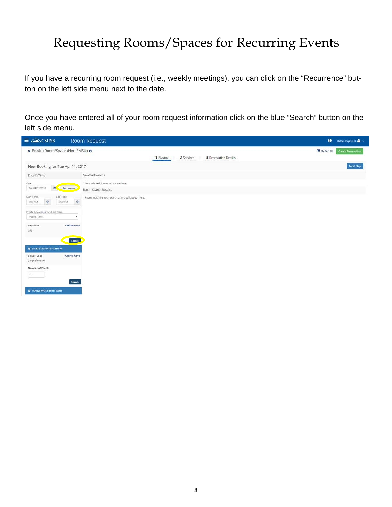# Requesting Rooms/Spaces for Recurring Events

If you have a recurring room request (i.e., weekly meetings), you can click on the "Recurrence" button on the left side menu next to the date.

Once you have entered all of your room request information click on the blue "Search" button on the left side menu.

| $\equiv$ $\curvearrowright$ CSUSB                                                                                                                                                                                    | Room Request                                                          | $\bullet$<br>Hattar, Virginia K &                          |
|----------------------------------------------------------------------------------------------------------------------------------------------------------------------------------------------------------------------|-----------------------------------------------------------------------|------------------------------------------------------------|
| x Book a Room/Space (Non-SMSU) @                                                                                                                                                                                     | 2 Services<br>1 Rooms                                                 | My Cart (0)<br>Create Reservation<br>3 Reservation Details |
| New Booking for Tue Apr 11, 2017                                                                                                                                                                                     |                                                                       | Next Step                                                  |
| Date & Time                                                                                                                                                                                                          | Selected Rooms                                                        |                                                            |
| Date:<br>Ⅲ.<br>Tue 04/11/2017<br>Recurrence                                                                                                                                                                          | Your selected Rooms will appear here.<br>Room Search Results          |                                                            |
| Start Time<br>End Time<br>$\circ$<br>5:00 PM<br>8:00 AM<br>Create booking in this time zone<br>Pacific Time<br>Add/Remove<br>Locations<br>(a  )<br>Search<br>C Let Me Search For A Room<br>Add/Remove<br>Setup Types | Rooms matching your search criteria will appear here.<br>$\circ$<br>٠ |                                                            |
| (no preference)<br>Number of People<br>$\mathcal{A}$ .<br>Search<br>C I Know What Room I Want                                                                                                                        |                                                                       |                                                            |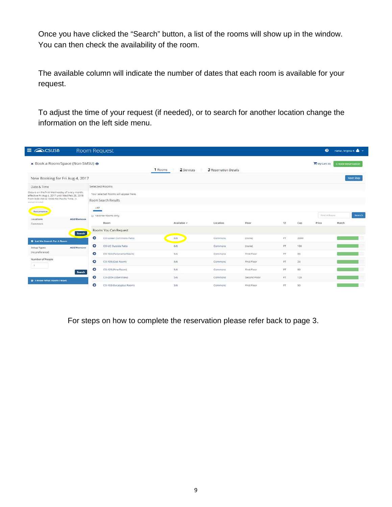Once you have clicked the "Search" button, a list of the rooms will show up in the window. You can then check the availability of the room.

The available column will indicate the number of dates that each room is available for your request.

To adjust the time of your request (if needed), or to search for another location change the information on the left side menu.

| $\equiv$ $\curvearrowright$ CSUSB                                                                 |            | Room Request                          |         |             |                       |                    |     |      | $\bullet$   | Hattar, Virginia K N V    |
|---------------------------------------------------------------------------------------------------|------------|---------------------------------------|---------|-------------|-----------------------|--------------------|-----|------|-------------|---------------------------|
| x Book a Room/Space (Non-SMSU) o                                                                  |            |                                       | 1 Rooms | 2 Services  | 3 Reservation Details |                    |     |      | My Cart (0) | <b>Create Reservation</b> |
| New Booking for Fri Aug 4, 2017                                                                   |            |                                       |         |             |                       |                    |     |      |             | Next Step                 |
| Date & Time                                                                                       |            | Selected Rooms                        |         |             |                       |                    |     |      |             |                           |
| Occurs on the first Wednesday of every month.<br>effective Fri Aug 4, 2017 until Wed Feb 28, 2018 |            | Your selected Rooms will appear here. |         |             |                       |                    |     |      |             |                           |
| from 8:00 AM to 10:00 AM Pacific Time. (6)<br>occurrences)                                        |            | Room Search Results                   |         |             |                       |                    |     |      |             |                           |
| Recurrence                                                                                        |            | LIST                                  |         |             |                       |                    |     |      |             |                           |
|                                                                                                   | Add/Remove | El Favorite Rooms only.               |         |             |                       |                    |     |      | Find & Room | Search                    |
| Locations<br>Commons                                                                              |            | Room                                  |         | Available v | Location              | Floor              | TZ  | Cap  | Price       | Match                     |
|                                                                                                   | Search     | Rooms You Can Request                 |         |             |                       |                    |     |      |             |                           |
| C Let Me Search For A Room                                                                        |            | $\bullet$<br>CO-Lower Commons Patio   |         | 6/6         | Commons               | (none)             | PT  | 2000 |             |                           |
| Setup Types                                                                                       | Add/Remove | $\bullet$<br>CO-UC Outside Patio      |         | 6/6         | Commons               | (none)             | PT. | 100  |             |                           |
| (no preference)                                                                                   |            | $\bullet$<br>CO-104 (Panorama Room)   |         | 5/6         | Commons               | First Floor        | PT  | 90   |             |                           |
| Number of People                                                                                  |            | ۰<br>CO-105 (Oak Room)                |         | 5/6         | Commons               | First Floor        | PT. | 24   |             |                           |
| 78                                                                                                | Search     | Θ<br>CO-125 (Pine Room)               |         | 5/6         | Commons               | First Floor        | PT  | 90   |             |                           |
| <b>Q</b> I Know What Room I Want                                                                  |            | ۰<br>CO-205A (Obershaw)               |         | 5/6         | Commons               | Second Floor       | PT. | 120  |             |                           |
|                                                                                                   |            | $\bullet$<br>CO-103 (Eucalyptus Room) |         | 3/6         | Commons               | <b>First Floor</b> | PT  | SO.  |             |                           |

For steps on how to complete the reservation please refer back to page 3.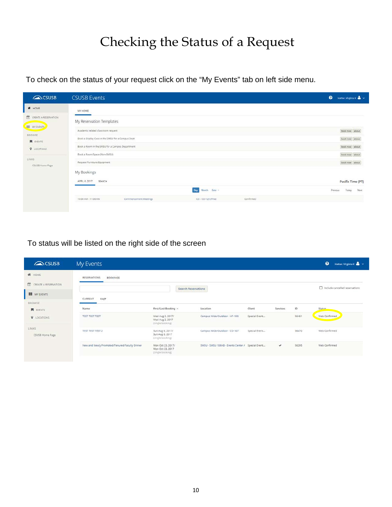# Checking the Status of a Request

To check on the status of your request click on the "My Events" tab on left side menu.

| CSUSB                          | <b>CSUSB Events</b>                                                | $\bullet$<br>Hattar, Virginia K & |
|--------------------------------|--------------------------------------------------------------------|-----------------------------------|
| W HOME                         | MY HOME                                                            |                                   |
| CREATE A RESERVATION           | My Reservation Templates                                           |                                   |
| <b>III</b> MY EVENTS<br>BROWSE | Academic related classroom request                                 | book now about                    |
| <b>E</b> EVENTS                | Book a Display Case in the SMSU for a Campus Dept                  | book now about                    |
| <b>V</b> LOCATIONS             | Book a Room in the SMSU for a Campus Department                    | book now about                    |
| LINKS                          | Book a Room/Space (Non-SMSU)                                       | book now. about                   |
| CSUSB Home Page                | Request Furniture/Equipment                                        | book now obout                    |
|                                | My Bookings                                                        |                                   |
|                                | APRIL 6, 2017 SEARCH                                               | Pacific Time [PT]                 |
|                                | Month Date -<br>Day                                                | Next<br>Today<br>Previous         |
|                                | 10:00 AM - 11:00 AM<br>Commencement Meetings<br>CO - CO-125 (Pine) | Confirmed                         |
|                                |                                                                    |                                   |

To status will be listed on the right side of the screen

| CSUSB                                       | My Events                                     |                                                           |                                                   |               |              |             | $\bullet$<br>Hattar, Virginia K &         |
|---------------------------------------------|-----------------------------------------------|-----------------------------------------------------------|---------------------------------------------------|---------------|--------------|-------------|-------------------------------------------|
| W HOME                                      | <b>RESERVATIONS</b><br><b>BOOKINGS</b>        |                                                           |                                                   |               |              |             |                                           |
| 尚<br>CREATE A RESERVATION<br>m<br>MY EVENTS |                                               |                                                           | <b>Search Reservations</b>                        |               |              |             | Include cancelled reservations            |
| BROWSE                                      | CURRENT<br>PAST                               |                                                           |                                                   |               |              |             |                                           |
| <b>N</b> EVENTS                             | Name                                          | First/Last Booking ^                                      | Location                                          | Client        | Services     | ID          | <b>Status</b>                             |
| <b>V</b> LOCATIONS                          | <b>TEST TEST TEST</b>                         | Wed Aug 2, 2017/<br>Wed Aug 2, 2017<br>(single booking)   | Campus Wide/Outdoor - HP-100                      | Special Event |              | 56461       | Web Confirmed                             |
| LINKS:<br>CSUSB Home Page                   | TEST TEST TEST 2                              | Sun Aug 6, 2017/<br>Sun Aug 6, 2017<br>(single booking)   | Campus Wide/Outdoor - CO-107                      | Special Event |              | 56470<br>-- | Web Confirmed<br><b><i>CONTRACTOR</i></b> |
|                                             | New and Newly Promoted/Tenured Faculty Dinner | Mon Oct 23, 2017/<br>Mon Oct 23, 2017<br>(single booking) | SMSU - SMSU 106AB - Events Center / Special Event |               | $\checkmark$ | 56295       | Web Confirmed                             |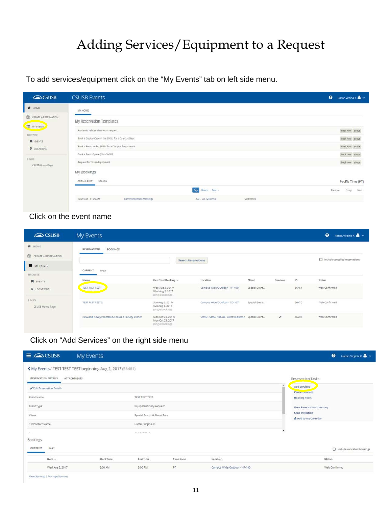# Adding Services/Equipment to a Request

To add services/equipment click on the "My Events" tab on left side menu.

| CSUSB                     | <b>CSUSB Events</b>                                                | $\bullet$<br>Hattar, Virginia K & |
|---------------------------|--------------------------------------------------------------------|-----------------------------------|
| W HOME                    | MY HOME                                                            |                                   |
| CREATE A RESERVATION      | My Reservation Templates                                           |                                   |
| <b>III</b> MY EVENTS      | Academic related classroom request                                 | book now about                    |
| BROWSE<br><b>E</b> EVENTS | Book a Display Case in the SMSU for a Campus Dept                  | book now about                    |
| <b>9</b> LOCATIONS        | Book a Room in the SMSU for a Campus Department                    | book now about                    |
|                           | Book a Room/Space (Non-SMSU)                                       | book now. about                   |
| LINKS<br>CSUSB Home Page  | Request Furniture/Equipment                                        | book now obout                    |
|                           | My Bookings                                                        |                                   |
|                           | APRIL 6, 2017 SEARCH                                               | Pacific Time [PT]                 |
|                           | Month Date -<br>Day                                                | Next<br>Today<br>Previous         |
|                           | Commencement Meetings<br>CO - CO-125 (Pine)<br>10:00 AM - 11:00 AM | Confirmed                         |

#### Click on the event name

| <b>ACSUSB</b>             | My Events                                     |                                                           |                                                   |               |              |       | $\bullet$<br>Hattar, Virginia K & |
|---------------------------|-----------------------------------------------|-----------------------------------------------------------|---------------------------------------------------|---------------|--------------|-------|-----------------------------------|
| W HOME                    | <b>RESERVATIONS</b><br><b>BOOKINGS</b>        |                                                           |                                                   |               |              |       |                                   |
| CREATE A RESERVATION      |                                               |                                                           | <b>Search Reservations</b>                        |               |              |       | nclude cancelled reservations     |
| <b>III</b> MY EVENTS      |                                               |                                                           |                                                   |               |              |       |                                   |
| BROWSE                    | CURRENT<br>PAST                               |                                                           |                                                   |               |              |       |                                   |
| <b>N</b> EVENTS           | Name                                          | First/Last Booking ^                                      | Location                                          | Client        | Services     | ID    | Status                            |
| <b>V</b> LOCATIONS        | TEST TEST TEST                                | Wed Aug 2, 2017/<br>Wed Aug 2, 2017<br>(single booking)   | Campus Wide/Outdoor - HP-100                      | Special Event |              | 56461 | Web Confirmed                     |
| LINKS:<br>CSUSB Home Page | TEST TEST TEST 2                              | Sun Aug 6, 2017/<br>Sun Aug 6, 2017<br>(single booking)   | Campus Wide/Outdoor - CO-107                      | Special Event |              | 56470 | Web Confirmed                     |
|                           | New and Newly Promoted/Tenured Faculty Dinner | Mon Oct 23, 2017/<br>Mon Oct 23, 2017<br>(tingle booking) | SMSU - SMSU 106AB - Events Center / Special Event |               | $\checkmark$ | 56295 | Web Confirmed                     |

Click on "Add Services" on the right side menu

| $\equiv$ $\curvearrowright$ CSUSB | My Events                                                  |                                                    |           |                              | $\bullet$<br>Hattar, Virginia K               |
|-----------------------------------|------------------------------------------------------------|----------------------------------------------------|-----------|------------------------------|-----------------------------------------------|
|                                   | K My Events / TEST TEST TEST beginning Aug 2, 2017 (56461) |                                                    |           |                              |                                               |
| RESERVATION DETAILS               | <b>ATTACHMENTS</b>                                         |                                                    |           |                              | <b>Reservation Tasks</b>                      |
| <b>/</b> Edit Reservation Details |                                                            |                                                    |           |                              | <b>Add Services</b><br><b>Cancer services</b> |
| Event Name                        |                                                            | TEST TEST TEST                                     |           |                              | <b>Booking Tools</b>                          |
| Event Type                        |                                                            | Equipment Only Request                             |           |                              | View Reservation Summary                      |
| Client                            |                                                            | Special Events & Guest Sycs                        |           |                              | Send Invitation<br>Add to My Calendar         |
| 1st Contact Name                  |                                                            | Hattar, Virginia K                                 |           |                              |                                               |
| zt.                               |                                                            | $\mathcal{A}$ is the conformation of $\mathcal{B}$ |           |                              |                                               |
| Bookings<br>CURRENT               |                                                            |                                                    |           |                              |                                               |
| PAST                              |                                                            |                                                    |           |                              | nclude cancelled bookings                     |
| Date ~                            | Start Time                                                 | End Time                                           | Time Zone | Location                     | Status                                        |
| Wed Aug 2, 2017                   | 8:00 AM                                                    | 5:00 PM                                            | PT        | Campus Wide/Outdoor - HP-100 | Web Confirmed                                 |

View Services | Manage Services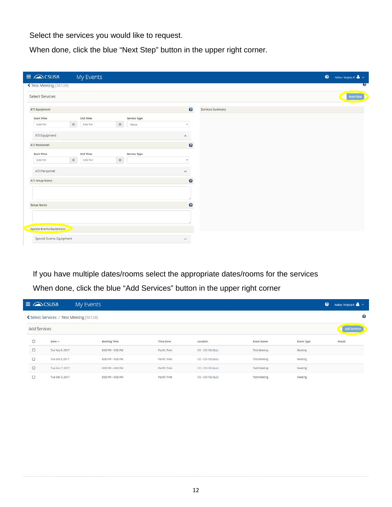Select the services you would like to request.

I

When done, click the blue "Next Step" button in the upper right corner.

| <b>くTest Meeting (56128)</b><br>Select Services<br>ATI Equipment |         |                 |         |              |                         |                  |                |
|------------------------------------------------------------------|---------|-----------------|---------|--------------|-------------------------|------------------|----------------|
|                                                                  |         |                 |         |              |                         |                  | $\overline{3}$ |
|                                                                  |         |                 |         |              |                         |                  | Next Step      |
|                                                                  |         |                 |         |              | $\bullet$               | Services Summary |                |
| <b>Start Time</b>                                                |         | End Time        |         | Service Type |                         |                  |                |
| 8:00 PM                                                          | $\circ$ | 9:00 PM         | $\circ$ | Setup        | ٠                       |                  |                |
| ATI Equipment                                                    |         |                 |         |              | $\sim$                  |                  |                |
| ATI Personnel                                                    |         |                 |         |              | $\bullet$               |                  |                |
| <b>Start Time</b>                                                |         | <b>End Time</b> |         | Service Type |                         |                  |                |
| 8:00 PM                                                          | $\circ$ | 9:00 PM         | $\circ$ |              | ٠                       |                  |                |
| ATI Personnel                                                    |         |                 |         |              | $\wedge$                |                  |                |
| ATI Setup Notes                                                  |         |                 |         |              | $\boldsymbol{\Omega}$   |                  |                |
|                                                                  |         |                 |         |              |                         |                  |                |
| <b>Setup Notes</b>                                               |         |                 |         |              | $\bullet$               |                  |                |
|                                                                  |         |                 |         |              |                         |                  |                |
| Special Events Equipment                                         |         |                 |         |              |                         |                  |                |
| Special Events Equipment                                         |         |                 |         |              | $\widehat{\phantom{a}}$ |                  |                |

If you have multiple dates/rooms select the appropriate dates/rooms for the services

| $\equiv$ $\triangle$ CSUSB |                                          | My Events                                                   |              |                                               |                     |            | $\bullet$<br>Hattar, Virginia K & |
|----------------------------|------------------------------------------|-------------------------------------------------------------|--------------|-----------------------------------------------|---------------------|------------|-----------------------------------|
|                            | く Select Services / Test Meeting (56128) |                                                             |              |                                               |                     |            | G)                                |
| Add Services               |                                          |                                                             |              |                                               |                     |            | <b>Add Services</b>               |
| $\Box$                     | Date $\sim$                              | <b>Public School Control of Bank</b><br><b>Booking Time</b> | Time Zone    | <b><i><u>VIA creative</u></i></b><br>Location | <b>Event Name</b>   | Event Type | Result                            |
| O                          | Tue Sep 5, 2017                          | 8:00 PM - 9:00 PM                                           | Pacific Time | $CO - CO - 103$ (Euc)                         | <b>Test Meeting</b> | Meeting    |                                   |
| а                          | Tue Oct 3, 2017                          | 8:00 PM - 9:00 PM                                           | Pacific Time | CO - CO-103 (Euc)                             | <b>Test Meeting</b> | Meeting:   |                                   |
| $\Box$                     | Tue Nov 7, 2017                          | 8:00 PM - 9:00 PM                                           | Pacific Time | $CO - CO - 103$ (Euc)                         | Test Meeting        | Meeting    |                                   |
| о                          | Tue Dec 5, 2017                          | 8:00 PM - 9:00 PM                                           | Pacific Time | CO - CO-103 (Euc)                             | Test Meeting        | Meeting    |                                   |

When done, click the blue "Add Services" button in the upper right corner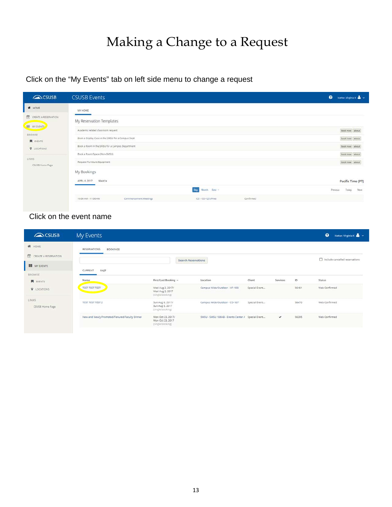# Making a Change to a Request

Click on the "My Events" tab on left side menu to change a request

| CSUSB                     | <b>CSUSB Events</b>                                                |           | $\bullet$ | Hattar, Virginia K & V |      |
|---------------------------|--------------------------------------------------------------------|-----------|-----------|------------------------|------|
| W HOME                    | MY HOME                                                            |           |           |                        |      |
| CREATE A RESERVATION      | My Reservation Templates                                           |           |           |                        |      |
| <b>HE MY EVENTS</b>       | Academic related classroom request                                 |           |           | book now about         |      |
| BROWSE<br><b>E</b> EVENTS | Book a Display Case in the SMSU for a Campus Dept                  |           |           | book now about         |      |
| <b>V</b> LOCATIONS        | Book a Room in the SMSU for a Campus Department                    |           |           | book now about         |      |
|                           | Book a Room/Space (Non-SMSU)                                       |           |           | book now. about        |      |
| LINKS<br>CSUSB Home Page  | Request Furniture/Equipment                                        |           |           | book now obout         |      |
|                           | My Bookings                                                        |           |           |                        |      |
|                           | APRIL 6, 2017<br>SEARCH                                            |           |           | Pacific Time [PT]      |      |
|                           | Month Date -<br>Day                                                |           | Previous  | Today                  | Next |
|                           | 10:00 AM - 11:00 AM<br>Commencement Meetings<br>CO - CO-125 (Pine) | Confirmed |           |                        |      |
|                           |                                                                    |           |           |                        |      |

## Click on the event name

| CSUSB                     | My Events                                     |                                                           |                                                   |               |              |       | $\bullet$<br>Hattar, Virginia K & |
|---------------------------|-----------------------------------------------|-----------------------------------------------------------|---------------------------------------------------|---------------|--------------|-------|-----------------------------------|
| W HOME                    | <b>RESERVATIONS</b><br><b>BOOKINGS</b>        |                                                           |                                                   |               |              |       |                                   |
| CREATE A RESERVATION      |                                               |                                                           | <b>Search Reservations</b>                        |               |              |       | Include cancelled reservations    |
| m<br>MY EVENTS            | PAST<br>CURRENT                               |                                                           |                                                   |               |              |       |                                   |
| BROWSE                    |                                               |                                                           |                                                   |               |              |       |                                   |
| <b>R</b> EVENTS           | Name                                          | First/Last Booking ^                                      | Location                                          | Client        | Services     | ID    | Status                            |
| <b>V</b> LOCATIONS        | TEST TEST TEST                                | Wed Aug 2, 2017/<br>Wed Aug 2, 2017<br>(single booking)   | Campus Wide/Outdoor - HP-100                      | Special Event |              | 56461 | Web Confirmed                     |
| LINKS:<br>CSUSB Home Page | TEST TEST TEST 2                              | Sun Aug 6, 2017/<br>Sun Aug 6, 2017<br>(single booking)   | Campus Wide/Outdoor - CO-107                      | Special Event |              | 56470 | Web Confirmed                     |
|                           | New and Newly Promoted/Tenured Faculty Dinner | Mon Oct 23, 2017/<br>Mon Oct 23, 2017<br>(tingle booking) | SMSU - SMSU 106AB - Events Center / Special Event |               | $\checkmark$ | 56295 | Web Confirmed                     |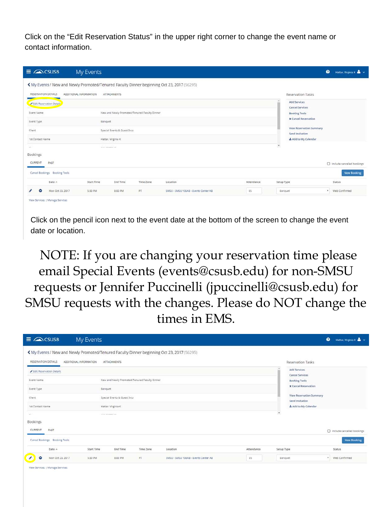Click on the "Edit Reservation Status" in the upper right corner to change the event name or contact information.

| $\equiv$ $\curvearrowright$ CSUSB                                                                                                                                                                                   | My Events                         |                                                                                            |                                               |                                      |            |                                                                                                                                                                                               | $\bullet$<br>Hattar, Virginia K $\stackrel{\bullet}{\bullet}$ $\sim$ |
|---------------------------------------------------------------------------------------------------------------------------------------------------------------------------------------------------------------------|-----------------------------------|--------------------------------------------------------------------------------------------|-----------------------------------------------|--------------------------------------|------------|-----------------------------------------------------------------------------------------------------------------------------------------------------------------------------------------------|----------------------------------------------------------------------|
| K My Events / New and Newly Promoted/Tenured Faculty Dinner beginning Oct 23, 2017 (56295)<br>RESERVATION DETAILS<br>Edit Reservation Details<br>Event Name<br>Event Type<br>Client<br>1st Contact Name<br>$\sim$ 1 | ADDITIONAL INFORMATION<br>Banquet | ATTACHMENTS<br>Special Events & Guest Sycs<br>Hattar, Virginia K<br>A W W YOU & MONT & CO. | New and Newly Promoted/Tenured Faculty Dinner |                                      |            | <b>Reservation Tasks</b><br>Add Services<br><b>Cancel Services</b><br><b>Booking Tools</b><br>x Cancel Reservation<br>View Reservation Summary<br>Send Invitation<br>Add to My Calendar<br>J. |                                                                      |
| Bookings<br>CURRENT<br>PAST<br>Cancel Bookings Booking Tools                                                                                                                                                        |                                   |                                                                                            |                                               |                                      |            |                                                                                                                                                                                               | Include cancelled bookings<br>New Booking                            |
| Date A                                                                                                                                                                                                              | Start Time                        | End Time                                                                                   | Time Zone                                     | Location                             | Attendance | Setup Type                                                                                                                                                                                    | <b>Status</b>                                                        |
| ۰<br>Mon Oct 23, 2017<br>View Services   Manage Services                                                                                                                                                            | 5:30 PM                           | 8:00 PM                                                                                    | PT                                            | SMSU - SMSU 106AB - Events Center AB | 85         | Banquet                                                                                                                                                                                       | Web Confirmed<br>$\mathbf{v}$                                        |

Click on the pencil icon next to the event date at the bottom of the screen to change the event date or location.

NOTE: If you are changing your reservation time please email Special Events (events@csusb.edu) for non-SMSU requests or Jennifer Puccinelli (jpuccinelli@csusb.edu) for SMSU requests with the changes. Please do NOT change the times in EMS.

| $\equiv$ $\triangle$ CSUSB                           | My Events                                                                                                            |                                                   |                                               |                                                  |                  |                                                                        | $\bullet$<br>Hattar, Virginia K          |
|------------------------------------------------------|----------------------------------------------------------------------------------------------------------------------|---------------------------------------------------|-----------------------------------------------|--------------------------------------------------|------------------|------------------------------------------------------------------------|------------------------------------------|
| RESERVATION DETAILS                                  | K My Events / New and Newly Promoted/Tenured Faculty Dinner beginning Oct 23, 2017 (56295)<br>ADDITIONAL INFORMATION | ATTACHMENTS                                       |                                               |                                                  |                  | <b>Reservation Tasks</b><br>Add Services                               |                                          |
| Edit Reservation Details<br>Event Name<br>Event Type | Banquet                                                                                                              |                                                   | New and Newly Promoted/Tenured Faculty Dinner |                                                  |                  | Cancel Services<br><b>Booking Tools</b><br><b>x</b> Cancel Reservation |                                          |
| Client<br>1st Contact Name                           |                                                                                                                      | Special Events & Guest Sycs<br>Hattar, Virginia K |                                               |                                                  |                  | View Reservation Summary<br>Send Invitation<br>& Add to My Calendar    |                                          |
| $-1$<br>Bookings                                     | A R & HF & HHF & A R                                                                                                 |                                                   |                                               |                                                  |                  | $\overline{\phantom{a}}$                                               |                                          |
| CURRENT<br>PAST<br>Cancel Bookings Booking Tools     |                                                                                                                      |                                                   |                                               |                                                  |                  |                                                                        | nelude cancelled bookings<br>New Booking |
| Date A<br>Ì<br>$\bullet$<br>Mon Oct 23, 2017         | Start Time<br>5:30 PM                                                                                                | End Time<br>S:00 PM                               | Time Zone<br>PT                               | Location<br>SMSU - SMSU 106AB - Events Center AB | Attendance<br>85 | Setup Type<br>Banquet                                                  | Status<br>Web Confirmed<br>$\mathbf{v}$  |

View Services | Manage Services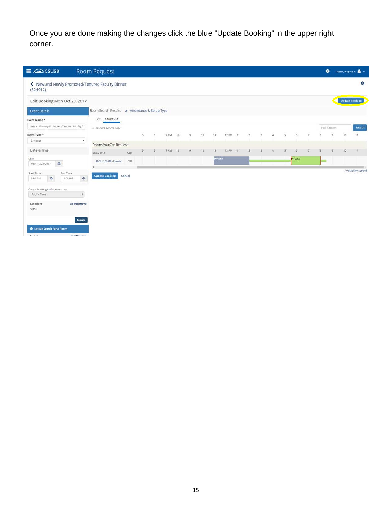Once you are done making the changes click the blue "Update Booking" in the upper right corner.

| $\equiv$ $\curvearrowright$ CSUSB                                                                                                                                                                                                              | Room Request                                  |        |                          |                    |      |   |         |                  |         |         |                |   |             |                         |         |   | $\bullet$      |    | Hattar, Virginia K $\rightarrow$ |
|------------------------------------------------------------------------------------------------------------------------------------------------------------------------------------------------------------------------------------------------|-----------------------------------------------|--------|--------------------------|--------------------|------|---|---------|------------------|---------|---------|----------------|---|-------------|-------------------------|---------|---|----------------|----|----------------------------------|
| K New and Newly Promoted/Tenured Faculty Dinner<br>(524912)                                                                                                                                                                                    |                                               |        |                          |                    |      |   |         |                  |         |         |                |   |             |                         |         |   |                |    | ?                                |
| Edit Booking Mon Oct 23, 2017                                                                                                                                                                                                                  |                                               |        |                          |                    |      |   |         |                  |         |         |                |   |             |                         |         |   |                |    | <b>Update Booking</b>            |
| <b>Event Details</b>                                                                                                                                                                                                                           | Room Search Results / Attendance & Setup Type |        |                          |                    |      |   |         |                  |         |         |                |   |             |                         |         |   |                |    |                                  |
| Event Name *                                                                                                                                                                                                                                   | SCHEDULE<br>LIST.                             |        |                          |                    |      |   |         |                  |         |         |                |   |             |                         |         |   |                |    |                                  |
| New and Newly Promoted/Tenured Faculty I                                                                                                                                                                                                       | Favorite Rooms only.                          |        |                          |                    |      |   |         |                  |         |         |                |   |             |                         |         |   | Find A Room    |    | Search                           |
| Event Type *                                                                                                                                                                                                                                   |                                               |        | $\overline{\phantom{a}}$ | $\bar{\mathbf{5}}$ | 7 AM | B | $\cdot$ | 10 <sub>10</sub> | 11      | 12 PM 1 | $\overline{z}$ | × | $\tilde{a}$ | $\overline{\mathbf{X}}$ | b.      | × | $\overline{a}$ | 10 | 11                               |
| <b>Banquet</b><br>٠                                                                                                                                                                                                                            | Rooms You Can Request                         |        |                          |                    |      |   |         |                  |         |         |                |   |             |                         |         |   |                |    |                                  |
| Date & Time                                                                                                                                                                                                                                    | SMSU (PT)                                     | Cap    | 5                        | 6                  | 7 AM |   |         | 10               | 11      | 12 PM   |                |   |             |                         |         |   |                | 10 | 11                               |
| Date<br>曲<br>Mon 10/23/2017                                                                                                                                                                                                                    | SMSU 106AB - Events                           | 740    |                          |                    |      |   |         |                  | Private |         |                |   |             |                         | Private |   |                |    |                                  |
| Start Time<br>End Time<br>$\circ$<br>$\circledcirc$<br>8:00 PM<br>5:30 PM<br>Create booking in this time zone<br>Pacific Time<br>¥.<br>Add/Remove<br>Locations<br>SMSU<br>Search<br>C Let Me Search For A Room<br>Floors<br><b>Addiversion</b> | <b>Update Booking</b>                         | Cancel |                          |                    |      |   |         |                  |         |         |                |   |             |                         |         |   |                |    | Availability Legend              |